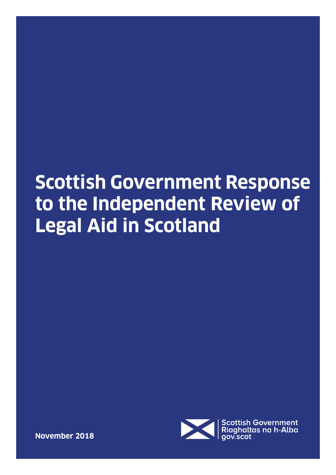# **Scottish Government Response to the Independent Review of Legal Aid in Scotland**



**November 2018**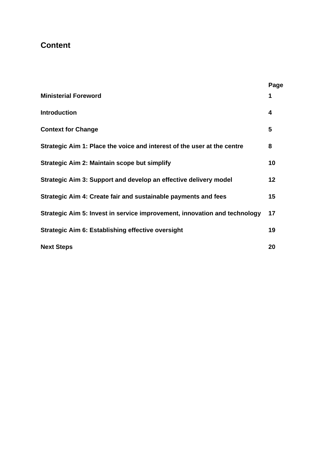#### **Content**

|                                                                           | Page |
|---------------------------------------------------------------------------|------|
| <b>Ministerial Foreword</b>                                               | 1    |
| <b>Introduction</b>                                                       | 4    |
| <b>Context for Change</b>                                                 | 5    |
| Strategic Aim 1: Place the voice and interest of the user at the centre   | 8    |
| Strategic Aim 2: Maintain scope but simplify                              | 10   |
| Strategic Aim 3: Support and develop an effective delivery model          | 12   |
| Strategic Aim 4: Create fair and sustainable payments and fees            | 15   |
| Strategic Aim 5: Invest in service improvement, innovation and technology | 17   |
| Strategic Aim 6: Establishing effective oversight                         | 19   |
| <b>Next Steps</b>                                                         | 20   |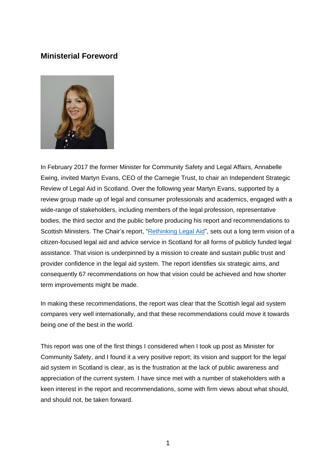#### **Ministerial Foreword**



In February 2017 the former Minister for Community Safety and Legal Affairs, Annabelle Ewing, invited Martyn Evans, CEO of the Carnegie Trust, to chair an Independent Strategic Review of Legal Aid in Scotland. Over the following year Martyn Evans, supported by a review group made up of legal and consumer professionals and academics, engaged with a wide-range of stakeholders, including members of the legal profession, representative bodies, the third sector and the public before producing his report and recommendations to Scottish Ministers. The Chair's report, ["Rethinking Legal Aid"](https://www2.gov.scot/Resource/0053/00531705.pdf), sets out a long term vision of a citizen-focused legal aid and advice service in Scotland for all forms of publicly funded legal assistance. That vision is underpinned by a mission to create and sustain public trust and provider confidence in the legal aid system. The report identifies six strategic aims, and consequently 67 recommendations on how that vision could be achieved and how shorter term improvements might be made.

In making these recommendations, the report was clear that the Scottish legal aid system compares very well internationally, and that these recommendations could move it towards being one of the best in the world.

This report was one of the first things I considered when I took up post as Minister for Community Safety, and I found it a very positive report; its vision and support for the legal aid system in Scotland is clear, as is the frustration at the lack of public awareness and appreciation of the current system. I have since met with a number of stakeholders with a keen interest in the report and recommendations, some with firm views about what should, and should not, be taken forward.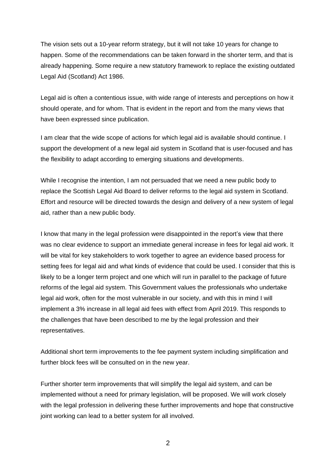The vision sets out a 10-year reform strategy, but it will not take 10 years for change to happen. Some of the recommendations can be taken forward in the shorter term, and that is already happening. Some require a new statutory framework to replace the existing outdated Legal Aid (Scotland) Act 1986.

Legal aid is often a contentious issue, with wide range of interests and perceptions on how it should operate, and for whom. That is evident in the report and from the many views that have been expressed since publication.

I am clear that the wide scope of actions for which legal aid is available should continue. I support the development of a new legal aid system in Scotland that is user-focused and has the flexibility to adapt according to emerging situations and developments.

While I recognise the intention, I am not persuaded that we need a new public body to replace the Scottish Legal Aid Board to deliver reforms to the legal aid system in Scotland. Effort and resource will be directed towards the design and delivery of a new system of legal aid, rather than a new public body.

I know that many in the legal profession were disappointed in the report's view that there was no clear evidence to support an immediate general increase in fees for legal aid work. It will be vital for key stakeholders to work together to agree an evidence based process for setting fees for legal aid and what kinds of evidence that could be used. I consider that this is likely to be a longer term project and one which will run in parallel to the package of future reforms of the legal aid system. This Government values the professionals who undertake legal aid work, often for the most vulnerable in our society, and with this in mind I will implement a 3% increase in all legal aid fees with effect from April 2019. This responds to the challenges that have been described to me by the legal profession and their representatives.

Additional short term improvements to the fee payment system including simplification and further block fees will be consulted on in the new year.

Further shorter term improvements that will simplify the legal aid system, and can be implemented without a need for primary legislation, will be proposed. We will work closely with the legal profession in delivering these further improvements and hope that constructive joint working can lead to a better system for all involved.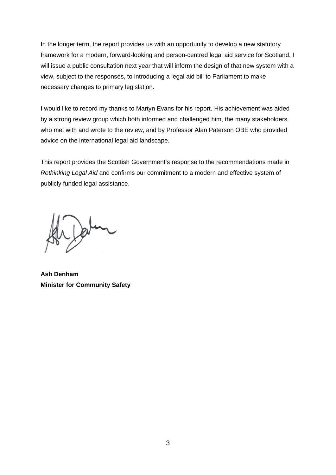In the longer term, the report provides us with an opportunity to develop a new statutory framework for a modern, forward-looking and person-centred legal aid service for Scotland. I will issue a public consultation next year that will inform the design of that new system with a view, subject to the responses, to introducing a legal aid bill to Parliament to make necessary changes to primary legislation.

I would like to record my thanks to Martyn Evans for his report. His achievement was aided by a strong review group which both informed and challenged him, the many stakeholders who met with and wrote to the review, and by Professor Alan Paterson OBE who provided advice on the international legal aid landscape.

This report provides the Scottish Government's response to the recommendations made in *Rethinking Legal Aid* and confirms our commitment to a modern and effective system of publicly funded legal assistance.

Jalin

**Ash Denham Minister for Community Safety**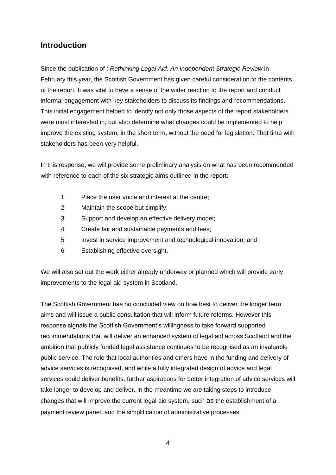#### **Introduction**

Since the publication of : *Rethinking Legal Aid: An Independent Strategic Review* in February this year, the Scottish Government has given careful consideration to the contents of the report. It was vital to have a sense of the wider reaction to the report and conduct informal engagement with key stakeholders to discuss its findings and recommendations. This initial engagement helped to identify not only those aspects of the report stakeholders were most interested in, but also determine what changes could be implemented to help improve the existing system, in the short term, without the need for legislation. That time with stakeholders has been very helpful.

In this response, we will provide some preliminary analysis on what has been recommended with reference to each of the six strategic aims outlined in the report:

- 1 Place the user voice and interest at the centre;
- 2 Maintain the scope but simplify;
- 3 Support and develop an effective delivery model;
- 4 Create fair and sustainable payments and fees;
- 5 Invest in service improvement and technological innovation; and
- 6 Establishing effective oversight.

We will also set out the work either already underway or planned which will provide early improvements to the legal aid system in Scotland.

The Scottish Government has no concluded view on how best to deliver the longer term aims and will issue a public consultation that will inform future reforms. However this response signals the Scottish Government's willingness to take forward supported recommendations that will deliver an enhanced system of legal aid across Scotland and the ambition that publicly funded legal assistance continues to be recognised as an invaluable public service. The role that local authorities and others have in the funding and delivery of advice services is recognised, and while a fully integrated design of advice and legal services could deliver benefits, further aspirations for better integration of advice services will take longer to develop and deliver. In the meantime we are taking steps to introduce changes that will improve the current legal aid system, such as the establishment of a payment review panel, and the simplification of administrative processes.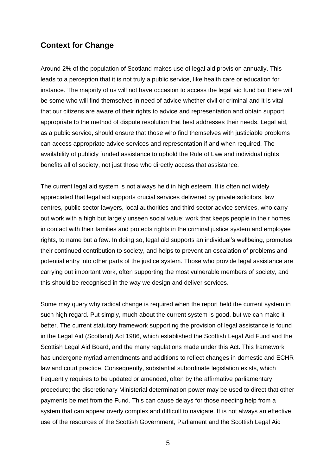#### **Context for Change**

Around 2% of the population of Scotland makes use of legal aid provision annually. This leads to a perception that it is not truly a public service, like health care or education for instance. The majority of us will not have occasion to access the legal aid fund but there will be some who will find themselves in need of advice whether civil or criminal and it is vital that our citizens are aware of their rights to advice and representation and obtain support appropriate to the method of dispute resolution that best addresses their needs. Legal aid, as a public service, should ensure that those who find themselves with justiciable problems can access appropriate advice services and representation if and when required. The availability of publicly funded assistance to uphold the Rule of Law and individual rights benefits all of society, not just those who directly access that assistance.

The current legal aid system is not always held in high esteem. It is often not widely appreciated that legal aid supports crucial services delivered by private solicitors, law centres, public sector lawyers, local authorities and third sector advice services, who carry out work with a high but largely unseen social value; work that keeps people in their homes, in contact with their families and protects rights in the criminal justice system and employee rights, to name but a few. In doing so, legal aid supports an individual's wellbeing, promotes their continued contribution to society, and helps to prevent an escalation of problems and potential entry into other parts of the justice system. Those who provide legal assistance are carrying out important work, often supporting the most vulnerable members of society, and this should be recognised in the way we design and deliver services.

Some may query why radical change is required when the report held the current system in such high regard. Put simply, much about the current system is good, but we can make it better. The current statutory framework supporting the provision of legal assistance is found in the Legal Aid (Scotland) Act 1986, which established the Scottish Legal Aid Fund and the Scottish Legal Aid Board, and the many regulations made under this Act. This framework has undergone myriad amendments and additions to reflect changes in domestic and ECHR law and court practice. Consequently, substantial subordinate legislation exists, which frequently requires to be updated or amended, often by the affirmative parliamentary procedure; the discretionary Ministerial determination power may be used to direct that other payments be met from the Fund. This can cause delays for those needing help from a system that can appear overly complex and difficult to navigate. It is not always an effective use of the resources of the Scottish Government, Parliament and the Scottish Legal Aid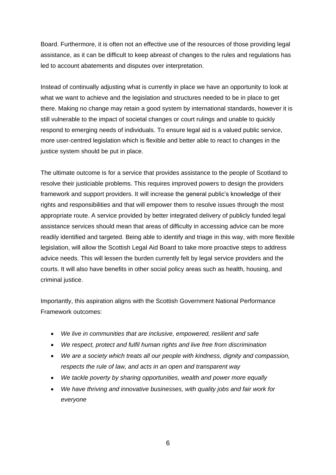Board. Furthermore, it is often not an effective use of the resources of those providing legal assistance, as it can be difficult to keep abreast of changes to the rules and regulations has led to account abatements and disputes over interpretation.

Instead of continually adjusting what is currently in place we have an opportunity to look at what we want to achieve and the legislation and structures needed to be in place to get there. Making no change may retain a good system by international standards, however it is still vulnerable to the impact of societal changes or court rulings and unable to quickly respond to emerging needs of individuals. To ensure legal aid is a valued public service, more user-centred legislation which is flexible and better able to react to changes in the justice system should be put in place.

The ultimate outcome is for a service that provides assistance to the people of Scotland to resolve their justiciable problems. This requires improved powers to design the providers framework and support providers. It will increase the general public's knowledge of their rights and responsibilities and that will empower them to resolve issues through the most appropriate route. A service provided by better integrated delivery of publicly funded legal assistance services should mean that areas of difficulty in accessing advice can be more readily identified and targeted. Being able to identify and triage in this way, with more flexible legislation, will allow the Scottish Legal Aid Board to take more proactive steps to address advice needs. This will lessen the burden currently felt by legal service providers and the courts. It will also have benefits in other social policy areas such as health, housing, and criminal justice.

Importantly, this aspiration aligns with the Scottish Government National Performance Framework outcomes:

- *We live in communities that are inclusive, empowered, resilient and safe*
- *We respect, protect and fulfil human rights and live free from discrimination*
- *We are a society which treats all our people with kindness, dignity and compassion, respects the rule of law, and acts in an open and transparent way*
- *We tackle poverty by sharing opportunities, wealth and power more equally*
- *We have thriving and innovative businesses, with quality jobs and fair work for everyone*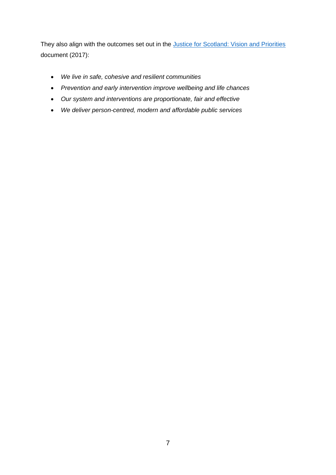They also align with the outcomes set out in the [Justice for Scotland: Vision and Priorities](https://www.gov.scot/publications/justice-scotland-vision-priorities/) document (2017):

- *We live in safe, cohesive and resilient communities*
- *Prevention and early intervention improve wellbeing and life chances*
- *Our system and interventions are proportionate, fair and effective*
- *We deliver person-centred, modern and affordable public services*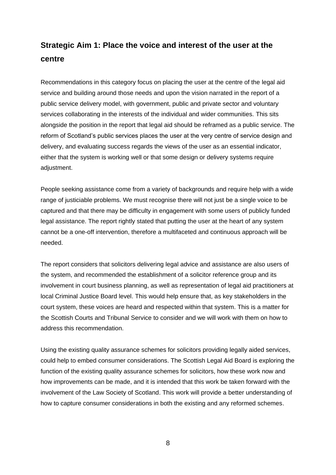### **Strategic Aim 1: Place the voice and interest of the user at the centre**

Recommendations in this category focus on placing the user at the centre of the legal aid service and building around those needs and upon the vision narrated in the report of a public service delivery model, with government, public and private sector and voluntary services collaborating in the interests of the individual and wider communities. This sits alongside the position in the report that legal aid should be reframed as a public service. The reform of Scotland's public services places the user at the very centre of service design and delivery, and evaluating success regards the views of the user as an essential indicator, either that the system is working well or that some design or delivery systems require adjustment.

People seeking assistance come from a variety of backgrounds and require help with a wide range of justiciable problems. We must recognise there will not just be a single voice to be captured and that there may be difficulty in engagement with some users of publicly funded legal assistance. The report rightly stated that putting the user at the heart of any system cannot be a one-off intervention, therefore a multifaceted and continuous approach will be needed.

The report considers that solicitors delivering legal advice and assistance are also users of the system, and recommended the establishment of a solicitor reference group and its involvement in court business planning, as well as representation of legal aid practitioners at local Criminal Justice Board level. This would help ensure that, as key stakeholders in the court system, these voices are heard and respected within that system. This is a matter for the Scottish Courts and Tribunal Service to consider and we will work with them on how to address this recommendation.

Using the existing quality assurance schemes for solicitors providing legally aided services, could help to embed consumer considerations. The Scottish Legal Aid Board is exploring the function of the existing quality assurance schemes for solicitors, how these work now and how improvements can be made, and it is intended that this work be taken forward with the involvement of the Law Society of Scotland. This work will provide a better understanding of how to capture consumer considerations in both the existing and any reformed schemes.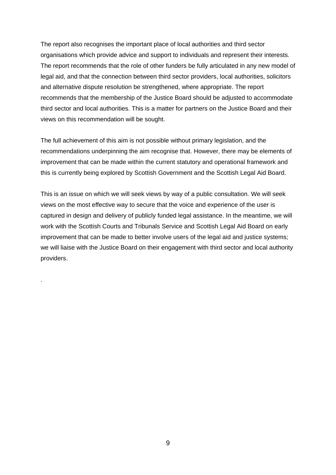The report also recognises the important place of local authorities and third sector organisations which provide advice and support to individuals and represent their interests. The report recommends that the role of other funders be fully articulated in any new model of legal aid, and that the connection between third sector providers, local authorities, solicitors and alternative dispute resolution be strengthened, where appropriate. The report recommends that the membership of the Justice Board should be adjusted to accommodate third sector and local authorities. This is a matter for partners on the Justice Board and their views on this recommendation will be sought.

The full achievement of this aim is not possible without primary legislation, and the recommendations underpinning the aim recognise that. However, there may be elements of improvement that can be made within the current statutory and operational framework and this is currently being explored by Scottish Government and the Scottish Legal Aid Board.

This is an issue on which we will seek views by way of a public consultation. We will seek views on the most effective way to secure that the voice and experience of the user is captured in design and delivery of publicly funded legal assistance. In the meantime, we will work with the Scottish Courts and Tribunals Service and Scottish Legal Aid Board on early improvement that can be made to better involve users of the legal aid and justice systems; we will liaise with the Justice Board on their engagement with third sector and local authority providers.

.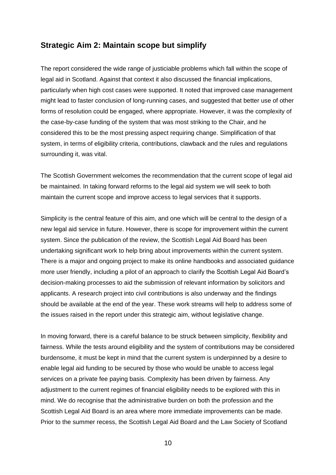#### **Strategic Aim 2: Maintain scope but simplify**

The report considered the wide range of justiciable problems which fall within the scope of legal aid in Scotland. Against that context it also discussed the financial implications, particularly when high cost cases were supported. It noted that improved case management might lead to faster conclusion of long-running cases, and suggested that better use of other forms of resolution could be engaged, where appropriate. However, it was the complexity of the case-by-case funding of the system that was most striking to the Chair, and he considered this to be the most pressing aspect requiring change. Simplification of that system, in terms of eligibility criteria, contributions, clawback and the rules and regulations surrounding it, was vital.

The Scottish Government welcomes the recommendation that the current scope of legal aid be maintained. In taking forward reforms to the legal aid system we will seek to both maintain the current scope and improve access to legal services that it supports.

Simplicity is the central feature of this aim, and one which will be central to the design of a new legal aid service in future. However, there is scope for improvement within the current system. Since the publication of the review, the Scottish Legal Aid Board has been undertaking significant work to help bring about improvements within the current system. There is a major and ongoing project to make its online handbooks and associated guidance more user friendly, including a pilot of an approach to clarify the Scottish Legal Aid Board's decision-making processes to aid the submission of relevant information by solicitors and applicants. A research project into civil contributions is also underway and the findings should be available at the end of the year. These work streams will help to address some of the issues raised in the report under this strategic aim, without legislative change.

In moving forward, there is a careful balance to be struck between simplicity, flexibility and fairness. While the tests around eligibility and the system of contributions may be considered burdensome, it must be kept in mind that the current system is underpinned by a desire to enable legal aid funding to be secured by those who would be unable to access legal services on a private fee paying basis. Complexity has been driven by fairness. Any adjustment to the current regimes of financial eligibility needs to be explored with this in mind. We do recognise that the administrative burden on both the profession and the Scottish Legal Aid Board is an area where more immediate improvements can be made. Prior to the summer recess, the Scottish Legal Aid Board and the Law Society of Scotland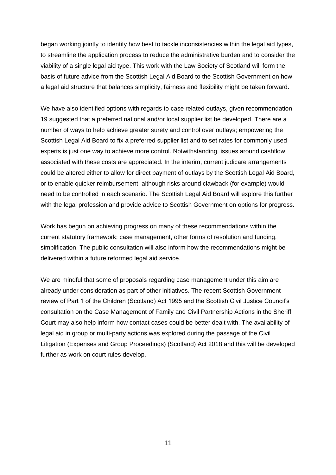began working jointly to identify how best to tackle inconsistencies within the legal aid types, to streamline the application process to reduce the administrative burden and to consider the viability of a single legal aid type. This work with the Law Society of Scotland will form the basis of future advice from the Scottish Legal Aid Board to the Scottish Government on how a legal aid structure that balances simplicity, fairness and flexibility might be taken forward.

We have also identified options with regards to case related outlays, given recommendation 19 suggested that a preferred national and/or local supplier list be developed. There are a number of ways to help achieve greater surety and control over outlays; empowering the Scottish Legal Aid Board to fix a preferred supplier list and to set rates for commonly used experts is just one way to achieve more control. Notwithstanding, issues around cashflow associated with these costs are appreciated. In the interim, current judicare arrangements could be altered either to allow for direct payment of outlays by the Scottish Legal Aid Board, or to enable quicker reimbursement, although risks around clawback (for example) would need to be controlled in each scenario. The Scottish Legal Aid Board will explore this further with the legal profession and provide advice to Scottish Government on options for progress.

Work has begun on achieving progress on many of these recommendations within the current statutory framework; case management, other forms of resolution and funding, simplification. The public consultation will also inform how the recommendations might be delivered within a future reformed legal aid service.

We are mindful that some of proposals regarding case management under this aim are already under consideration as part of other initiatives. The recent Scottish Government review of Part 1 of the Children (Scotland) Act 1995 and the Scottish Civil Justice Council's consultation on the Case Management of Family and Civil Partnership Actions in the Sheriff Court may also help inform how contact cases could be better dealt with. The availability of legal aid in group or multi-party actions was explored during the passage of the Civil Litigation (Expenses and Group Proceedings) (Scotland) Act 2018 and this will be developed further as work on court rules develop.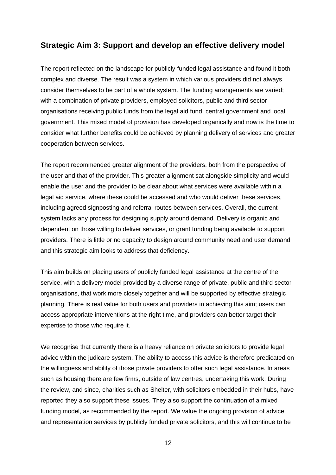#### **Strategic Aim 3: Support and develop an effective delivery model**

The report reflected on the landscape for publicly-funded legal assistance and found it both complex and diverse. The result was a system in which various providers did not always consider themselves to be part of a whole system. The funding arrangements are varied; with a combination of private providers, employed solicitors, public and third sector organisations receiving public funds from the legal aid fund, central government and local government. This mixed model of provision has developed organically and now is the time to consider what further benefits could be achieved by planning delivery of services and greater cooperation between services.

The report recommended greater alignment of the providers, both from the perspective of the user and that of the provider. This greater alignment sat alongside simplicity and would enable the user and the provider to be clear about what services were available within a legal aid service, where these could be accessed and who would deliver these services, including agreed signposting and referral routes between services. Overall, the current system lacks any process for designing supply around demand. Delivery is organic and dependent on those willing to deliver services, or grant funding being available to support providers. There is little or no capacity to design around community need and user demand and this strategic aim looks to address that deficiency.

This aim builds on placing users of publicly funded legal assistance at the centre of the service, with a delivery model provided by a diverse range of private, public and third sector organisations, that work more closely together and will be supported by effective strategic planning. There is real value for both users and providers in achieving this aim; users can access appropriate interventions at the right time, and providers can better target their expertise to those who require it.

We recognise that currently there is a heavy reliance on private solicitors to provide legal advice within the judicare system. The ability to access this advice is therefore predicated on the willingness and ability of those private providers to offer such legal assistance. In areas such as housing there are few firms, outside of law centres, undertaking this work. During the review, and since, charities such as Shelter, with solicitors embedded in their hubs, have reported they also support these issues. They also support the continuation of a mixed funding model, as recommended by the report. We value the ongoing provision of advice and representation services by publicly funded private solicitors, and this will continue to be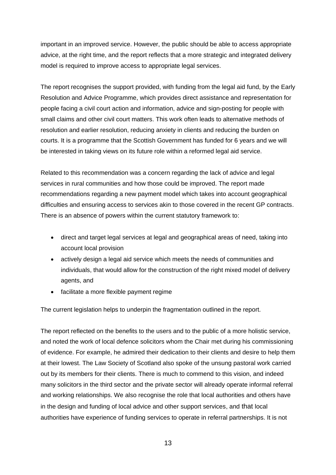important in an improved service. However, the public should be able to access appropriate advice, at the right time, and the report reflects that a more strategic and integrated delivery model is required to improve access to appropriate legal services.

The report recognises the support provided, with funding from the legal aid fund, by the Early Resolution and Advice Programme, which provides direct assistance and representation for people facing a civil court action and information, advice and sign-posting for people with small claims and other civil court matters. This work often leads to alternative methods of resolution and earlier resolution, reducing anxiety in clients and reducing the burden on courts. It is a programme that the Scottish Government has funded for 6 years and we will be interested in taking views on its future role within a reformed legal aid service.

Related to this recommendation was a concern regarding the lack of advice and legal services in rural communities and how those could be improved. The report made recommendations regarding a new payment model which takes into account geographical difficulties and ensuring access to services akin to those covered in the recent GP contracts. There is an absence of powers within the current statutory framework to:

- direct and target legal services at legal and geographical areas of need, taking into account local provision
- actively design a legal aid service which meets the needs of communities and individuals, that would allow for the construction of the right mixed model of delivery agents, and
- facilitate a more flexible payment regime

The current legislation helps to underpin the fragmentation outlined in the report.

The report reflected on the benefits to the users and to the public of a more holistic service, and noted the work of local defence solicitors whom the Chair met during his commissioning of evidence. For example, he admired their dedication to their clients and desire to help them at their lowest. The Law Society of Scotland also spoke of the unsung pastoral work carried out by its members for their clients. There is much to commend to this vision, and indeed many solicitors in the third sector and the private sector will already operate informal referral and working relationships. We also recognise the role that local authorities and others have in the design and funding of local advice and other support services, and that local authorities have experience of funding services to operate in referral partnerships. It is not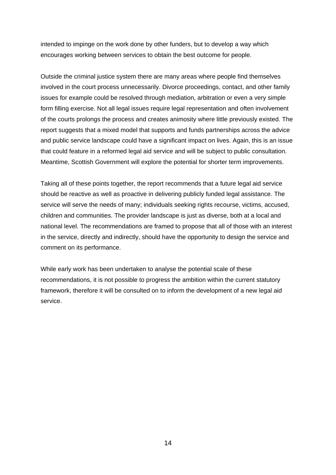intended to impinge on the work done by other funders, but to develop a way which encourages working between services to obtain the best outcome for people.

Outside the criminal justice system there are many areas where people find themselves involved in the court process unnecessarily. Divorce proceedings, contact, and other family issues for example could be resolved through mediation, arbitration or even a very simple form filling exercise. Not all legal issues require legal representation and often involvement of the courts prolongs the process and creates animosity where little previously existed. The report suggests that a mixed model that supports and funds partnerships across the advice and public service landscape could have a significant impact on lives. Again, this is an issue that could feature in a reformed legal aid service and will be subject to public consultation. Meantime, Scottish Government will explore the potential for shorter term improvements.

Taking all of these points together, the report recommends that a future legal aid service should be reactive as well as proactive in delivering publicly funded legal assistance. The service will serve the needs of many; individuals seeking rights recourse, victims, accused, children and communities. The provider landscape is just as diverse, both at a local and national level. The recommendations are framed to propose that all of those with an interest in the service, directly and indirectly, should have the opportunity to design the service and comment on its performance.

While early work has been undertaken to analyse the potential scale of these recommendations, it is not possible to progress the ambition within the current statutory framework, therefore it will be consulted on to inform the development of a new legal aid service.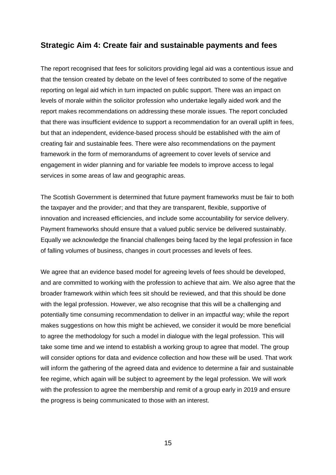#### **Strategic Aim 4: Create fair and sustainable payments and fees**

The report recognised that fees for solicitors providing legal aid was a contentious issue and that the tension created by debate on the level of fees contributed to some of the negative reporting on legal aid which in turn impacted on public support. There was an impact on levels of morale within the solicitor profession who undertake legally aided work and the report makes recommendations on addressing these morale issues. The report concluded that there was insufficient evidence to support a recommendation for an overall uplift in fees, but that an independent, evidence-based process should be established with the aim of creating fair and sustainable fees. There were also recommendations on the payment framework in the form of memorandums of agreement to cover levels of service and engagement in wider planning and for variable fee models to improve access to legal services in some areas of law and geographic areas.

The Scottish Government is determined that future payment frameworks must be fair to both the taxpayer and the provider; and that they are transparent, flexible, supportive of innovation and increased efficiencies, and include some accountability for service delivery. Payment frameworks should ensure that a valued public service be delivered sustainably. Equally we acknowledge the financial challenges being faced by the legal profession in face of falling volumes of business, changes in court processes and levels of fees.

We agree that an evidence based model for agreeing levels of fees should be developed, and are committed to working with the profession to achieve that aim. We also agree that the broader framework within which fees sit should be reviewed, and that this should be done with the legal profession. However, we also recognise that this will be a challenging and potentially time consuming recommendation to deliver in an impactful way; while the report makes suggestions on how this might be achieved, we consider it would be more beneficial to agree the methodology for such a model in dialogue with the legal profession. This will take some time and we intend to establish a working group to agree that model. The group will consider options for data and evidence collection and how these will be used. That work will inform the gathering of the agreed data and evidence to determine a fair and sustainable fee regime, which again will be subject to agreement by the legal profession. We will work with the profession to agree the membership and remit of a group early in 2019 and ensure the progress is being communicated to those with an interest.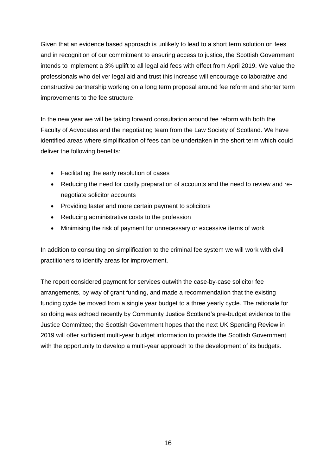Given that an evidence based approach is unlikely to lead to a short term solution on fees and in recognition of our commitment to ensuring access to justice, the Scottish Government intends to implement a 3% uplift to all legal aid fees with effect from April 2019. We value the professionals who deliver legal aid and trust this increase will encourage collaborative and constructive partnership working on a long term proposal around fee reform and shorter term improvements to the fee structure.

In the new year we will be taking forward consultation around fee reform with both the Faculty of Advocates and the negotiating team from the Law Society of Scotland. We have identified areas where simplification of fees can be undertaken in the short term which could deliver the following benefits:

- Facilitating the early resolution of cases
- Reducing the need for costly preparation of accounts and the need to review and renegotiate solicitor accounts
- Providing faster and more certain payment to solicitors
- Reducing administrative costs to the profession
- Minimising the risk of payment for unnecessary or excessive items of work

In addition to consulting on simplification to the criminal fee system we will work with civil practitioners to identify areas for improvement.

The report considered payment for services outwith the case-by-case solicitor fee arrangements, by way of grant funding, and made a recommendation that the existing funding cycle be moved from a single year budget to a three yearly cycle. The rationale for so doing was echoed recently by Community Justice Scotland's pre-budget evidence to the Justice Committee; the Scottish Government hopes that the next UK Spending Review in 2019 will offer sufficient multi-year budget information to provide the Scottish Government with the opportunity to develop a multi-year approach to the development of its budgets.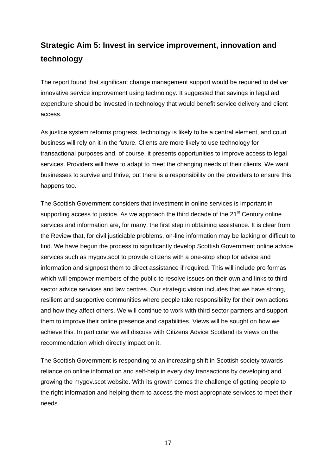## **Strategic Aim 5: Invest in service improvement, innovation and technology**

The report found that significant change management support would be required to deliver innovative service improvement using technology. It suggested that savings in legal aid expenditure should be invested in technology that would benefit service delivery and client access.

As justice system reforms progress, technology is likely to be a central element, and court business will rely on it in the future. Clients are more likely to use technology for transactional purposes and, of course, it presents opportunities to improve access to legal services. Providers will have to adapt to meet the changing needs of their clients. We want businesses to survive and thrive, but there is a responsibility on the providers to ensure this happens too.

The Scottish Government considers that investment in online services is important in supporting access to justice. As we approach the third decade of the 21<sup>st</sup> Century online services and information are, for many, the first step in obtaining assistance. It is clear from the Review that, for civil justiciable problems, on-line information may be lacking or difficult to find. We have begun the process to significantly develop Scottish Government online advice services such as mygov.scot to provide citizens with a one-stop shop for advice and information and signpost them to direct assistance if required. This will include pro formas which will empower members of the public to resolve issues on their own and links to third sector advice services and law centres. Our strategic vision includes that we have strong, resilient and supportive communities where people take responsibility for their own actions and how they affect others. We will continue to work with third sector partners and support them to improve their online presence and capabilities. Views will be sought on how we achieve this. In particular we will discuss with Citizens Advice Scotland its views on the recommendation which directly impact on it.

The Scottish Government is responding to an increasing shift in Scottish society towards reliance on online information and self-help in every day transactions by developing and growing the mygov.scot website. With its growth comes the challenge of getting people to the right information and helping them to access the most appropriate services to meet their needs.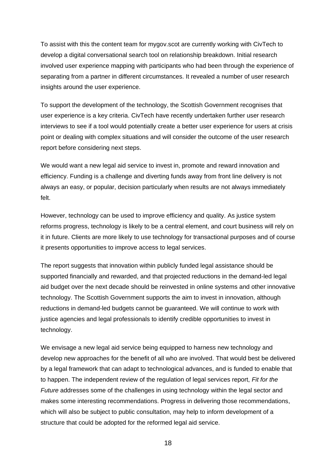To assist with this the content team for mygov.scot are currently working with CivTech to develop a digital conversational search tool on relationship breakdown. Initial research involved user experience mapping with participants who had been through the experience of separating from a partner in different circumstances. It revealed a number of user research insights around the user experience.

To support the development of the technology, the Scottish Government recognises that user experience is a key criteria. CivTech have recently undertaken further user research interviews to see if a tool would potentially create a better user experience for users at crisis point or dealing with complex situations and will consider the outcome of the user research report before considering next steps.

We would want a new legal aid service to invest in, promote and reward innovation and efficiency. Funding is a challenge and diverting funds away from front line delivery is not always an easy, or popular, decision particularly when results are not always immediately felt.

However, technology can be used to improve efficiency and quality. As justice system reforms progress, technology is likely to be a central element, and court business will rely on it in future. Clients are more likely to use technology for transactional purposes and of course it presents opportunities to improve access to legal services.

The report suggests that innovation within publicly funded legal assistance should be supported financially and rewarded, and that projected reductions in the demand-led legal aid budget over the next decade should be reinvested in online systems and other innovative technology. The Scottish Government supports the aim to invest in innovation, although reductions in demand-led budgets cannot be guaranteed. We will continue to work with justice agencies and legal professionals to identify credible opportunities to invest in technology.

We envisage a new legal aid service being equipped to harness new technology and develop new approaches for the benefit of all who are involved. That would best be delivered by a legal framework that can adapt to technological advances, and is funded to enable that to happen. The independent review of the regulation of legal services report, *Fit for the Future* addresses some of the challenges in using technology within the legal sector and makes some interesting recommendations. Progress in delivering those recommendations, which will also be subject to public consultation, may help to inform development of a structure that could be adopted for the reformed legal aid service.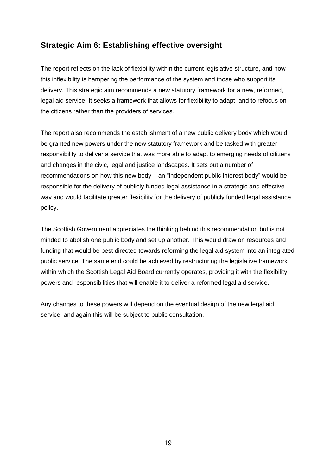#### **Strategic Aim 6: Establishing effective oversight**

The report reflects on the lack of flexibility within the current legislative structure, and how this inflexibility is hampering the performance of the system and those who support its delivery. This strategic aim recommends a new statutory framework for a new, reformed, legal aid service. It seeks a framework that allows for flexibility to adapt, and to refocus on the citizens rather than the providers of services.

The report also recommends the establishment of a new public delivery body which would be granted new powers under the new statutory framework and be tasked with greater responsibility to deliver a service that was more able to adapt to emerging needs of citizens and changes in the civic, legal and justice landscapes. It sets out a number of recommendations on how this new body – an "independent public interest body" would be responsible for the delivery of publicly funded legal assistance in a strategic and effective way and would facilitate greater flexibility for the delivery of publicly funded legal assistance policy.

The Scottish Government appreciates the thinking behind this recommendation but is not minded to abolish one public body and set up another. This would draw on resources and funding that would be best directed towards reforming the legal aid system into an integrated public service. The same end could be achieved by restructuring the legislative framework within which the Scottish Legal Aid Board currently operates, providing it with the flexibility, powers and responsibilities that will enable it to deliver a reformed legal aid service.

Any changes to these powers will depend on the eventual design of the new legal aid service, and again this will be subject to public consultation.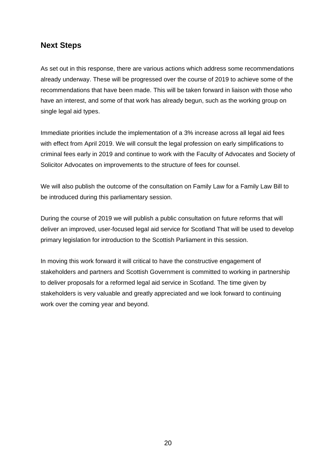#### **Next Steps**

As set out in this response, there are various actions which address some recommendations already underway. These will be progressed over the course of 2019 to achieve some of the recommendations that have been made. This will be taken forward in liaison with those who have an interest, and some of that work has already begun, such as the working group on single legal aid types.

Immediate priorities include the implementation of a 3% increase across all legal aid fees with effect from April 2019. We will consult the legal profession on early simplifications to criminal fees early in 2019 and continue to work with the Faculty of Advocates and Society of Solicitor Advocates on improvements to the structure of fees for counsel.

We will also publish the outcome of the consultation on Family Law for a Family Law Bill to be introduced during this parliamentary session.

During the course of 2019 we will publish a public consultation on future reforms that will deliver an improved, user-focused legal aid service for Scotland That will be used to develop primary legislation for introduction to the Scottish Parliament in this session.

In moving this work forward it will critical to have the constructive engagement of stakeholders and partners and Scottish Government is committed to working in partnership to deliver proposals for a reformed legal aid service in Scotland. The time given by stakeholders is very valuable and greatly appreciated and we look forward to continuing work over the coming year and beyond.